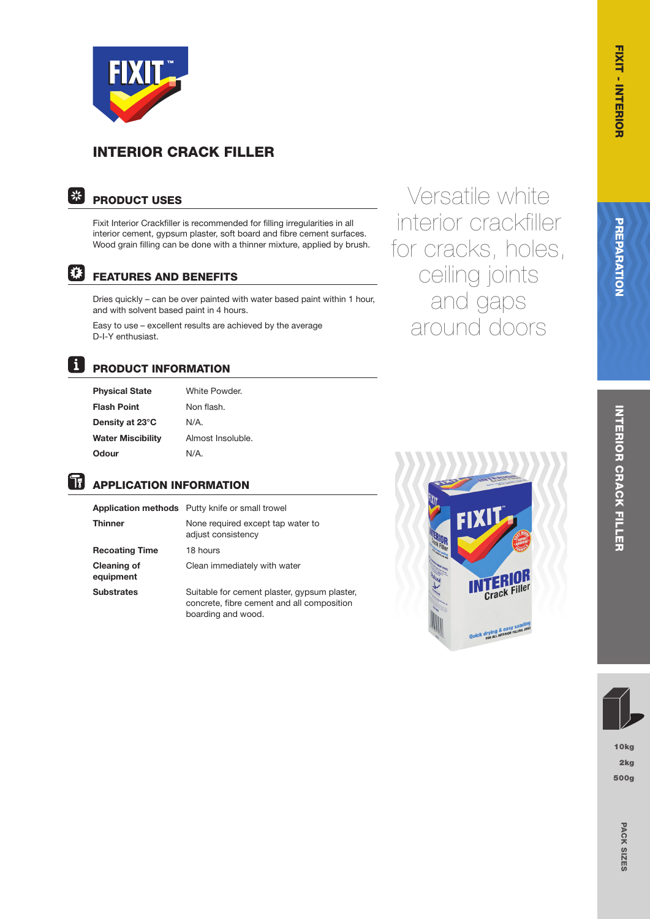

# INTERIOR CRACK FILLER

### | 米| PRODUCT USES

Fixit Interior Crackfiller is recommended for filling irregularities in all interior cement, gypsum plaster, soft board and fibre cement surfaces. Wood grain filling can be done with a thinner mixture, applied by brush.

# 陕

### FEATURES AND BENEFITS

Dries quickly – can be over painted with water based paint within 1 hour, and with solvent based paint in 4 hours.

Easy to use – excellent results are achieved by the average D-I-Y enthusiast.

Versatile white interior crackfiller for cracks, holes, ceiling joints and gaps around doors

Tī

# PRODUCT INFORMATION

**Physical State** White Powder. Flash Point Non flash. Density at 23°C N/A. Water Miscibility Almost Insoluble. Odour N/A.

# APPLICATION INFORMATION

|                                 | <b>Application methods</b> Putty knife or small trowel  |
|---------------------------------|---------------------------------------------------------|
| <b>Thinner</b>                  | None required except tap water to<br>adjust consistency |
| <b>Recoating Time</b>           | 18 hours                                                |
| <b>Cleaning of</b><br>equipment | Clean immediately with water                            |
| <b>Substrates</b>               | Suitable for cement plaster, gypsum plaster,            |

 concrete, fibre cement and all composition boarding and wood.



# FIXIT - INTERIOR PREPARATION - INTERIOR CRACK FILLER - INTERIOR CRACK FILLER - INTERIOR (2018) INTERIOR CRACK FILLEF INTERIOR CRACK FILLER

10kg